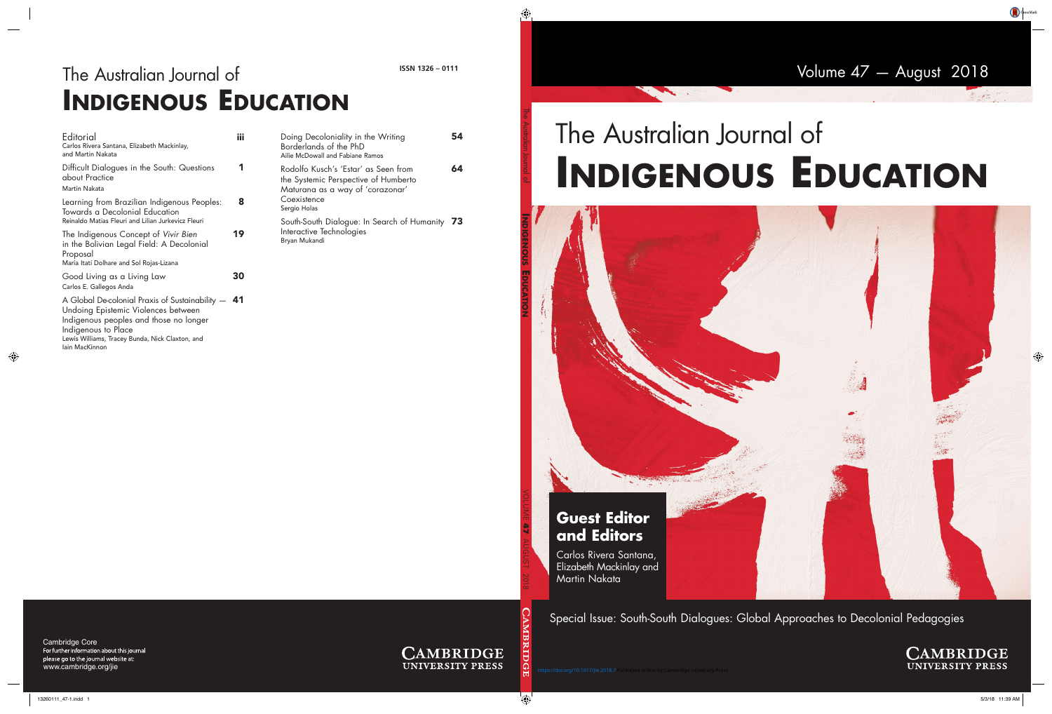Volume 47— August 2018

## The Australian Journal of **INDIGENOUS EDUCATION**

# **STRANG Guest Editor and Editors** Carlos Rivera Santana, Elizabeth Mackinlay and Martin Nakata

Special Issue: South-South Dialogues: Global Approaches to Decolonial Pedagogies

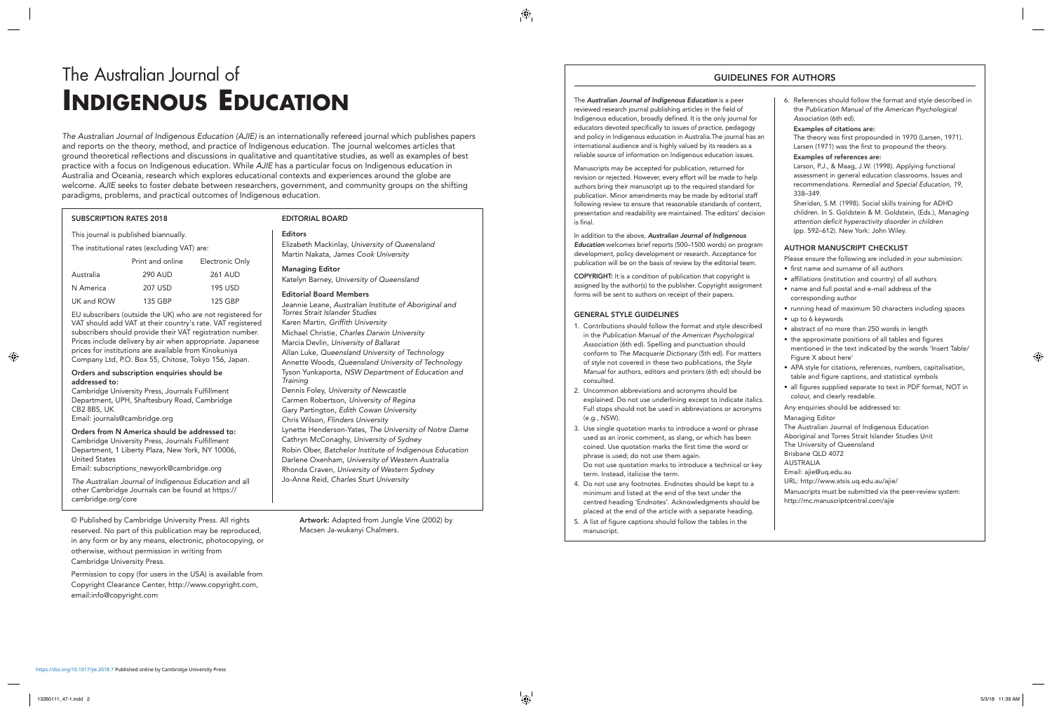### The Australian Journal of **INDIGENOUS EDUCATION**

The Australian Journal of Indigenous Education (AJIE) is an internationally refereed journal which publishes papers and reports on the theory, method, and practice of Indigenous education. The journal welcomes articles that ground theoretical reflections and discussions in qualitative and quantitative studies, as well as examples of best practice with a focus on Indigenous education. While AJIE has a particular focus on Indigenous education in Australia and Oceania, research which explores educational contexts and experiences around the globe are welcome. AJIE seeks to foster debate between researchers, government, and community groups on the shifting paradigms, problems, and practical outcomes of Indigenous education.

#### **SUBSCRIPTION RATES 2018**

This journal is published biannually.

The institutional rates (excluding VAT) are:

| Print and online | Electronic Only |
|------------------|-----------------|
| 290 AUD          | <b>261 AUD</b>  |
| 207 USD          | 195 USD         |
| 135 GBP          | 125 GBP         |
|                  |                 |

EU subscribers (outside the UK) who are not registered for VAT should add VAT at their country's rate. VAT registered subscribers should provide their VAT registration number. Prices include delivery by air when appropriate. Japanese prices for institutions are available from Kinokuniya Company Ltd, P.O. Box 55, Chitose, Tokyo 156, Japan.

#### **Orders and subscription enquiries should be addressed to:**

Cambridge University Press, Journals Fulfillment Department, UPH, Shaftesbury Road, Cambridge CB2 8BS, UK Email: journals@cambridge.org

**Orders from N America should be addressed to:** Cambridge University Press, Journals Fulfillment Department, 1 Liberty Plaza, New York, NY 10006, United States

Email: subscriptions\_newyork@cambridge.org

The Australian Journal of Indigenous Education and all other Cambridge Journals can be found at https:// cambridge.org/core

© Published by Cambridge University Press. All rights reserved. No part of this publication may be reproduced, in any form or by any means, electronic, photocopying, or otherwise, without permission in writing from Cambridge University Press.

Permission to copy (for users in the USA) is available from Copyright Clearance Center, http://www.copyright.com, email:info@copyright.com

#### **EDITORIAL BOARD**

#### **Editors**

Elizabeth Mackinlay, University of Queensland Martin Nakata, James Cook University

#### **Managing Editor**

Katelyn Barney, University of Queensland

#### **Editorial Board Members**

Jeannie Leane, Australian Institute of Aboriginal and Torres Strait Islander Studies Karen Martin, Griffith University Michael Christie, Charles Darwin University Marcia Devlin, University of Ballarat Allan Luke, Queensland University of Technology Annette Woods, Queensland University of Technology Tyson Yunkaporta, NSW Department of Education and **Training** Dennis Foley, University of Newcastle Carmen Robertson, University of Regina Gary Partington, Edith Cowan University Chris Wilson, Flinders University Lynette Henderson-Yates, The University of Notre Dame Cathryn McConaghy, University of Sydney Robin Ober, Batchelor Institute of Indigenous Education Darlene Oxenham, University of Western Australia Rhonda Craven, University of Western Sydney Jo-Anne Reid, Charles Sturt University

**Artwork:** Adapted from Jungle Vine (2002) by Macsen Ja-wukanyi Chalmers.